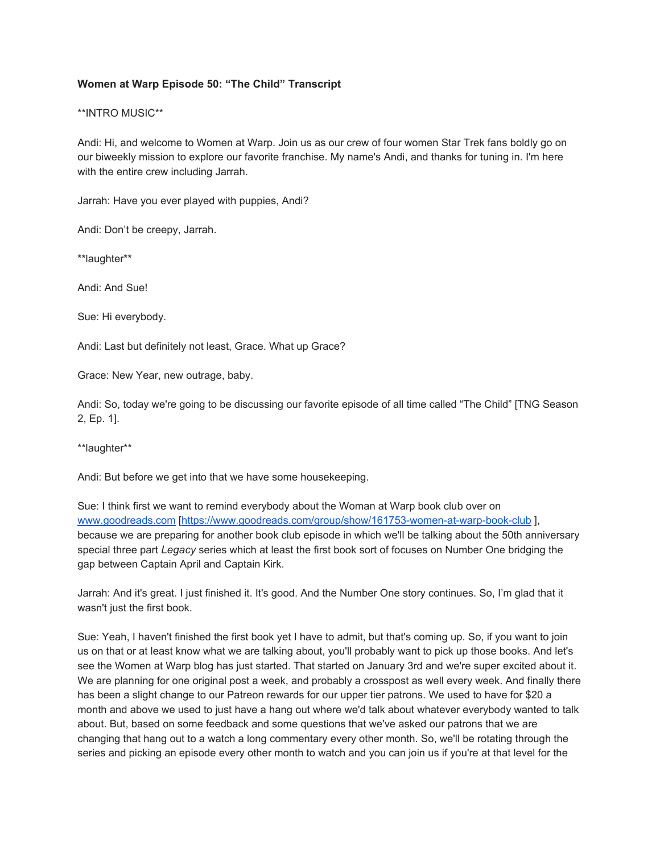## **Women at Warp Episode 50: "The Child" Transcript**

## \*\*INTRO MUSIC\*\*

Andi: Hi, and welcome to Women at Warp. Join us as our crew of four women Star Trek fans boldly go on our biweekly mission to explore our favorite franchise. My name's Andi, and thanks for tuning in. I'm here with the entire crew including Jarrah.

Jarrah: Have you ever played with puppies, Andi?

Andi: Don't be creepy, Jarrah.

\*\*laughter\*\*

Andi: And Sue!

Sue: Hi everybody.

Andi: Last but definitely not least, Grace. What up Grace?

Grace: New Year, new outrage, baby.

Andi: So, today we're going to be discussing our favorite episode of all time called "The Child" [TNG Season 2, Ep. 1].

\*\*laughter\*\*

Andi: But before we get into that we have some housekeeping.

Sue: I think first we want to remind everybody about the Woman at Warp book club over on [www.goodreads.com](http://www.goodreads.com/) [\[https://www.goodreads.com/group/show/161753-women-at-warp-book-club](https://www.goodreads.com/group/show/161753-women-at-warp-book-club) ], because we are preparing for another book club episode in which we'll be talking about the 50th anniversary special three part *Legacy* series which at least the first book sort of focuses on Number One bridging the gap between Captain April and Captain Kirk.

Jarrah: And it's great. I just finished it. It's good. And the Number One story continues. So, I'm glad that it wasn't just the first book.

Sue: Yeah, I haven't finished the first book yet I have to admit, but that's coming up. So, if you want to join us on that or at least know what we are talking about, you'll probably want to pick up those books. And let's see the Women at Warp blog has just started. That started on January 3rd and we're super excited about it. We are planning for one original post a week, and probably a crosspost as well every week. And finally there has been a slight change to our Patreon rewards for our upper tier patrons. We used to have for \$20 a month and above we used to just have a hang out where we'd talk about whatever everybody wanted to talk about. But, based on some feedback and some questions that we've asked our patrons that we are changing that hang out to a watch a long commentary every other month. So, we'll be rotating through the series and picking an episode every other month to watch and you can join us if you're at that level for the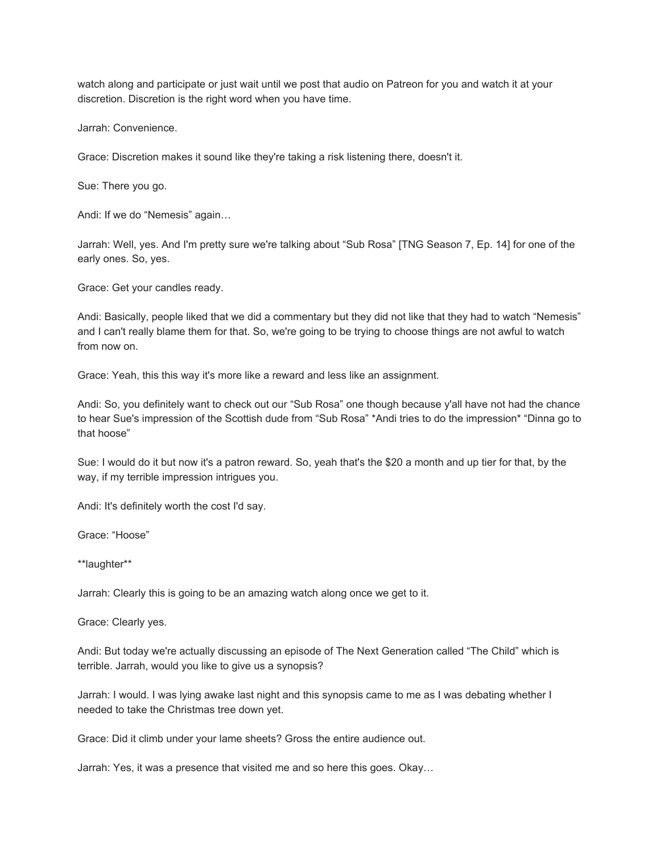watch along and participate or just wait until we post that audio on Patreon for you and watch it at your discretion. Discretion is the right word when you have time.

Jarrah: Convenience.

Grace: Discretion makes it sound like they're taking a risk listening there, doesn't it.

Sue: There you go.

Andi: If we do "Nemesis" again…

Jarrah: Well, yes. And I'm pretty sure we're talking about "Sub Rosa" [TNG Season 7, Ep. 14] for one of the early ones. So, yes.

Grace: Get your candles ready.

Andi: Basically, people liked that we did a commentary but they did not like that they had to watch "Nemesis" and I can't really blame them for that. So, we're going to be trying to choose things are not awful to watch from now on.

Grace: Yeah, this this way it's more like a reward and less like an assignment.

Andi: So, you definitely want to check out our "Sub Rosa" one though because y'all have not had the chance to hear Sue's impression of the Scottish dude from "Sub Rosa" \*Andi tries to do the impression\* "Dinna go to that hoose"

Sue: I would do it but now it's a patron reward. So, yeah that's the \$20 a month and up tier for that, by the way, if my terrible impression intrigues you.

Andi: It's definitely worth the cost I'd say.

Grace: "Hoose"

\*\*laughter\*\*

Jarrah: Clearly this is going to be an amazing watch along once we get to it.

Grace: Clearly yes.

Andi: But today we're actually discussing an episode of The Next Generation called "The Child" which is terrible. Jarrah, would you like to give us a synopsis?

Jarrah: I would. I was lying awake last night and this synopsis came to me as I was debating whether I needed to take the Christmas tree down yet.

Grace: Did it climb under your lame sheets? Gross the entire audience out.

Jarrah: Yes, it was a presence that visited me and so here this goes. Okay…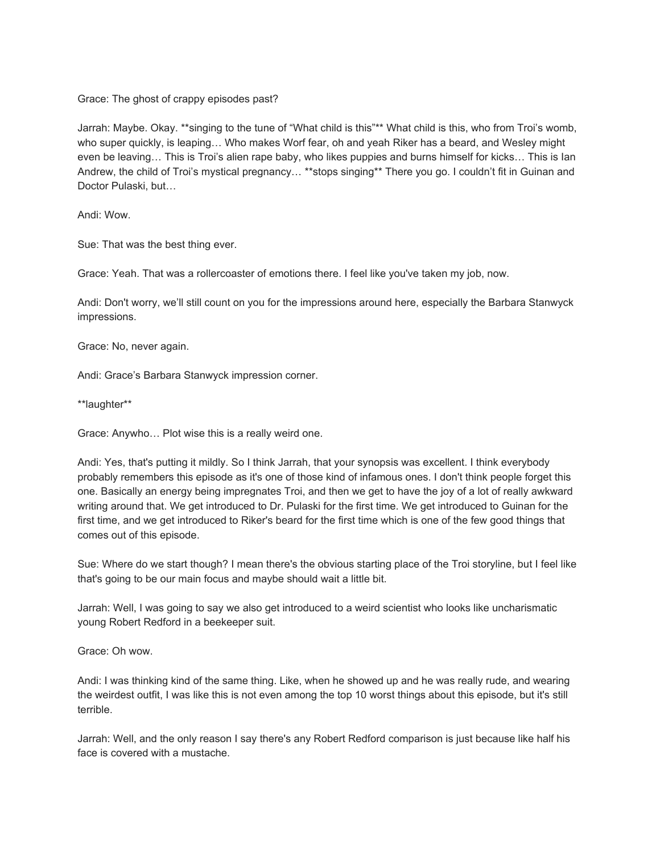Grace: The ghost of crappy episodes past?

Jarrah: Maybe. Okay. \*\*singing to the tune of "What child is this"\*\* What child is this, who from Troi's womb, who super quickly, is leaping… Who makes Worf fear, oh and yeah Riker has a beard, and Wesley might even be leaving… This is Troi's alien rape baby, who likes puppies and burns himself for kicks… This is Ian Andrew, the child of Troi's mystical pregnancy… \*\*stops singing\*\* There you go. I couldn't fit in Guinan and Doctor Pulaski, but…

Andi: Wow.

Sue: That was the best thing ever.

Grace: Yeah. That was a rollercoaster of emotions there. I feel like you've taken my job, now.

Andi: Don't worry, we'll still count on you for the impressions around here, especially the Barbara Stanwyck impressions.

Grace: No, never again.

Andi: Grace's Barbara Stanwyck impression corner.

\*\*laughter\*\*

Grace: Anywho… Plot wise this is a really weird one.

Andi: Yes, that's putting it mildly. So I think Jarrah, that your synopsis was excellent. I think everybody probably remembers this episode as it's one of those kind of infamous ones. I don't think people forget this one. Basically an energy being impregnates Troi, and then we get to have the joy of a lot of really awkward writing around that. We get introduced to Dr. Pulaski for the first time. We get introduced to Guinan for the first time, and we get introduced to Riker's beard for the first time which is one of the few good things that comes out of this episode.

Sue: Where do we start though? I mean there's the obvious starting place of the Troi storyline, but I feel like that's going to be our main focus and maybe should wait a little bit.

Jarrah: Well, I was going to say we also get introduced to a weird scientist who looks like uncharismatic young Robert Redford in a beekeeper suit.

Grace: Oh wow.

Andi: I was thinking kind of the same thing. Like, when he showed up and he was really rude, and wearing the weirdest outfit, I was like this is not even among the top 10 worst things about this episode, but it's still terrible.

Jarrah: Well, and the only reason I say there's any Robert Redford comparison is just because like half his face is covered with a mustache.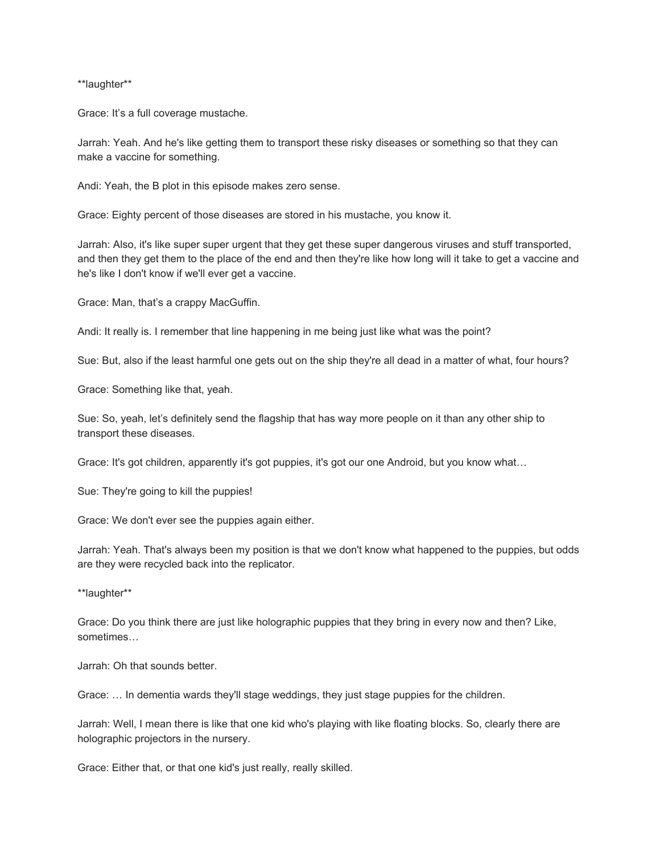\*\*laughter\*\*

Grace: It's a full coverage mustache.

Jarrah: Yeah. And he's like getting them to transport these risky diseases or something so that they can make a vaccine for something.

Andi: Yeah, the B plot in this episode makes zero sense.

Grace: Eighty percent of those diseases are stored in his mustache, you know it.

Jarrah: Also, it's like super super urgent that they get these super dangerous viruses and stuff transported, and then they get them to the place of the end and then they're like how long will it take to get a vaccine and he's like I don't know if we'll ever get a vaccine.

Grace: Man, that's a crappy MacGuffin.

Andi: It really is. I remember that line happening in me being just like what was the point?

Sue: But, also if the least harmful one gets out on the ship they're all dead in a matter of what, four hours?

Grace: Something like that, yeah.

Sue: So, yeah, let's definitely send the flagship that has way more people on it than any other ship to transport these diseases.

Grace: It's got children, apparently it's got puppies, it's got our one Android, but you know what…

Sue: They're going to kill the puppies!

Grace: We don't ever see the puppies again either.

Jarrah: Yeah. That's always been my position is that we don't know what happened to the puppies, but odds are they were recycled back into the replicator.

\*\*laughter\*\*

Grace: Do you think there are just like holographic puppies that they bring in every now and then? Like, sometimes…

Jarrah: Oh that sounds better.

Grace: … In dementia wards they'll stage weddings, they just stage puppies for the children.

Jarrah: Well, I mean there is like that one kid who's playing with like floating blocks. So, clearly there are holographic projectors in the nursery.

Grace: Either that, or that one kid's just really, really skilled.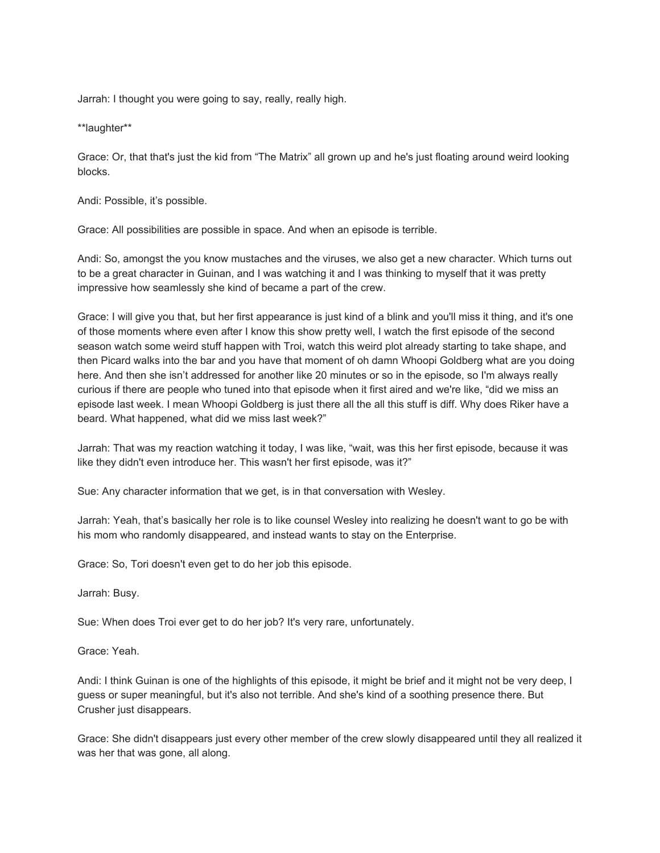Jarrah: I thought you were going to say, really, really high.

\*\*laughter\*\*

Grace: Or, that that's just the kid from "The Matrix" all grown up and he's just floating around weird looking blocks.

Andi: Possible, it's possible.

Grace: All possibilities are possible in space. And when an episode is terrible.

Andi: So, amongst the you know mustaches and the viruses, we also get a new character. Which turns out to be a great character in Guinan, and I was watching it and I was thinking to myself that it was pretty impressive how seamlessly she kind of became a part of the crew.

Grace: I will give you that, but her first appearance is just kind of a blink and you'll miss it thing, and it's one of those moments where even after I know this show pretty well, I watch the first episode of the second season watch some weird stuff happen with Troi, watch this weird plot already starting to take shape, and then Picard walks into the bar and you have that moment of oh damn Whoopi Goldberg what are you doing here. And then she isn't addressed for another like 20 minutes or so in the episode, so I'm always really curious if there are people who tuned into that episode when it first aired and we're like, "did we miss an episode last week. I mean Whoopi Goldberg is just there all the all this stuff is diff. Why does Riker have a beard. What happened, what did we miss last week?"

Jarrah: That was my reaction watching it today, I was like, "wait, was this her first episode, because it was like they didn't even introduce her. This wasn't her first episode, was it?"

Sue: Any character information that we get, is in that conversation with Wesley.

Jarrah: Yeah, that's basically her role is to like counsel Wesley into realizing he doesn't want to go be with his mom who randomly disappeared, and instead wants to stay on the Enterprise.

Grace: So, Tori doesn't even get to do her job this episode.

Jarrah: Busy.

Sue: When does Troi ever get to do her job? It's very rare, unfortunately.

Grace: Yeah.

Andi: I think Guinan is one of the highlights of this episode, it might be brief and it might not be very deep, I guess or super meaningful, but it's also not terrible. And she's kind of a soothing presence there. But Crusher just disappears.

Grace: She didn't disappears just every other member of the crew slowly disappeared until they all realized it was her that was gone, all along.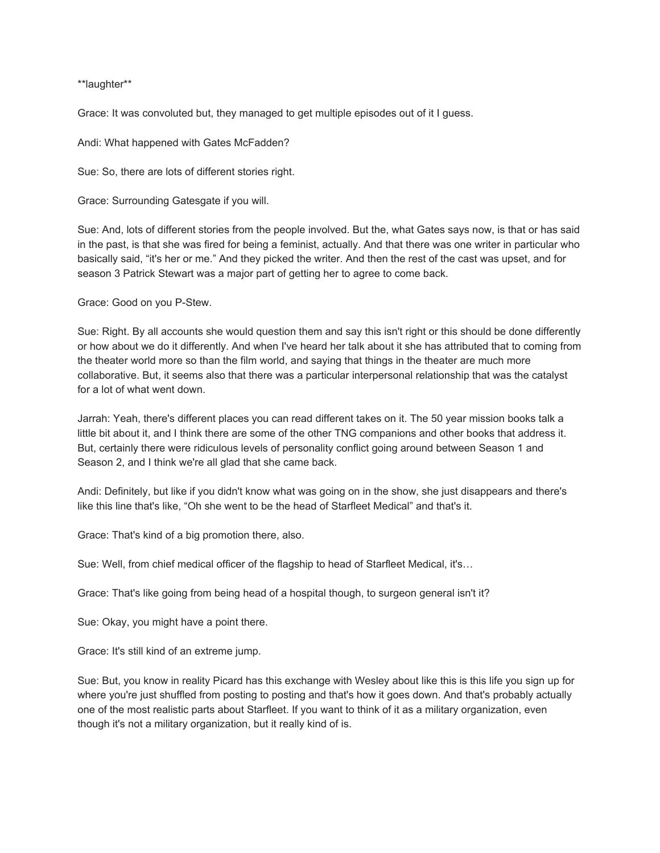\*\*laughter\*\*

Grace: It was convoluted but, they managed to get multiple episodes out of it I guess.

Andi: What happened with Gates McFadden?

Sue: So, there are lots of different stories right.

Grace: Surrounding Gatesgate if you will.

Sue: And, lots of different stories from the people involved. But the, what Gates says now, is that or has said in the past, is that she was fired for being a feminist, actually. And that there was one writer in particular who basically said, "it's her or me." And they picked the writer. And then the rest of the cast was upset, and for season 3 Patrick Stewart was a major part of getting her to agree to come back.

Grace: Good on you P-Stew.

Sue: Right. By all accounts she would question them and say this isn't right or this should be done differently or how about we do it differently. And when I've heard her talk about it she has attributed that to coming from the theater world more so than the film world, and saying that things in the theater are much more collaborative. But, it seems also that there was a particular interpersonal relationship that was the catalyst for a lot of what went down.

Jarrah: Yeah, there's different places you can read different takes on it. The 50 year mission books talk a little bit about it, and I think there are some of the other TNG companions and other books that address it. But, certainly there were ridiculous levels of personality conflict going around between Season 1 and Season 2, and I think we're all glad that she came back.

Andi: Definitely, but like if you didn't know what was going on in the show, she just disappears and there's like this line that's like, "Oh she went to be the head of Starfleet Medical" and that's it.

Grace: That's kind of a big promotion there, also.

Sue: Well, from chief medical officer of the flagship to head of Starfleet Medical, it's…

Grace: That's like going from being head of a hospital though, to surgeon general isn't it?

Sue: Okay, you might have a point there.

Grace: It's still kind of an extreme jump.

Sue: But, you know in reality Picard has this exchange with Wesley about like this is this life you sign up for where you're just shuffled from posting to posting and that's how it goes down. And that's probably actually one of the most realistic parts about Starfleet. If you want to think of it as a military organization, even though it's not a military organization, but it really kind of is.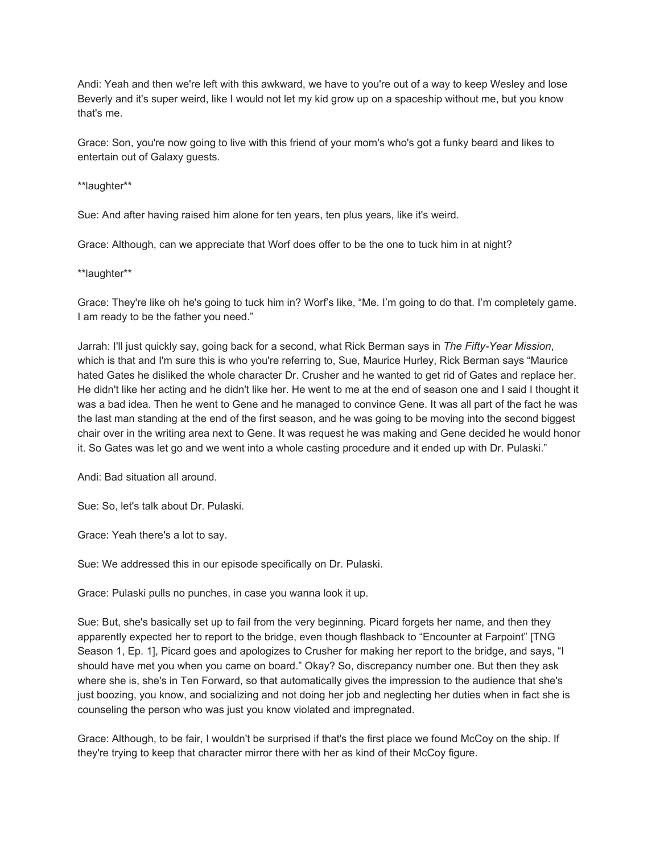Andi: Yeah and then we're left with this awkward, we have to you're out of a way to keep Wesley and lose Beverly and it's super weird, like I would not let my kid grow up on a spaceship without me, but you know that's me.

Grace: Son, you're now going to live with this friend of your mom's who's got a funky beard and likes to entertain out of Galaxy guests.

\*\*laughter\*\*

Sue: And after having raised him alone for ten years, ten plus years, like it's weird.

Grace: Although, can we appreciate that Worf does offer to be the one to tuck him in at night?

\*\*laughter\*\*

Grace: They're like oh he's going to tuck him in? Worf's like, "Me. I'm going to do that. I'm completely game. I am ready to be the father you need."

Jarrah: I'll just quickly say, going back for a second, what Rick Berman says in *The Fifty-Year Mission*, which is that and I'm sure this is who you're referring to, Sue, Maurice Hurley, Rick Berman says "Maurice hated Gates he disliked the whole character Dr. Crusher and he wanted to get rid of Gates and replace her. He didn't like her acting and he didn't like her. He went to me at the end of season one and I said I thought it was a bad idea. Then he went to Gene and he managed to convince Gene. It was all part of the fact he was the last man standing at the end of the first season, and he was going to be moving into the second biggest chair over in the writing area next to Gene. It was request he was making and Gene decided he would honor it. So Gates was let go and we went into a whole casting procedure and it ended up with Dr. Pulaski."

Andi: Bad situation all around.

Sue: So, let's talk about Dr. Pulaski.

Grace: Yeah there's a lot to say.

Sue: We addressed this in our episode specifically on Dr. Pulaski.

Grace: Pulaski pulls no punches, in case you wanna look it up.

Sue: But, she's basically set up to fail from the very beginning. Picard forgets her name, and then they apparently expected her to report to the bridge, even though flashback to "Encounter at Farpoint" [TNG Season 1, Ep. 1], Picard goes and apologizes to Crusher for making her report to the bridge, and says, "I should have met you when you came on board." Okay? So, discrepancy number one. But then they ask where she is, she's in Ten Forward, so that automatically gives the impression to the audience that she's just boozing, you know, and socializing and not doing her job and neglecting her duties when in fact she is counseling the person who was just you know violated and impregnated.

Grace: Although, to be fair, I wouldn't be surprised if that's the first place we found McCoy on the ship. If they're trying to keep that character mirror there with her as kind of their McCoy figure.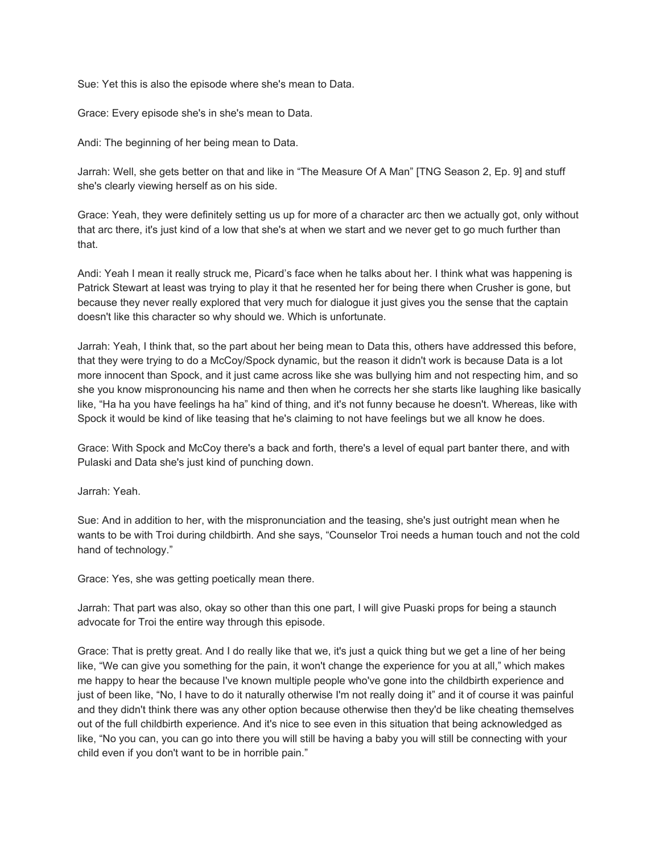Sue: Yet this is also the episode where she's mean to Data.

Grace: Every episode she's in she's mean to Data.

Andi: The beginning of her being mean to Data.

Jarrah: Well, she gets better on that and like in "The Measure Of A Man" [TNG Season 2, Ep. 9] and stuff she's clearly viewing herself as on his side.

Grace: Yeah, they were definitely setting us up for more of a character arc then we actually got, only without that arc there, it's just kind of a low that she's at when we start and we never get to go much further than that.

Andi: Yeah I mean it really struck me, Picard's face when he talks about her. I think what was happening is Patrick Stewart at least was trying to play it that he resented her for being there when Crusher is gone, but because they never really explored that very much for dialogue it just gives you the sense that the captain doesn't like this character so why should we. Which is unfortunate.

Jarrah: Yeah, I think that, so the part about her being mean to Data this, others have addressed this before, that they were trying to do a McCoy/Spock dynamic, but the reason it didn't work is because Data is a lot more innocent than Spock, and it just came across like she was bullying him and not respecting him, and so she you know mispronouncing his name and then when he corrects her she starts like laughing like basically like, "Ha ha you have feelings ha ha" kind of thing, and it's not funny because he doesn't. Whereas, like with Spock it would be kind of like teasing that he's claiming to not have feelings but we all know he does.

Grace: With Spock and McCoy there's a back and forth, there's a level of equal part banter there, and with Pulaski and Data she's just kind of punching down.

Jarrah: Yeah.

Sue: And in addition to her, with the mispronunciation and the teasing, she's just outright mean when he wants to be with Troi during childbirth. And she says, "Counselor Troi needs a human touch and not the cold hand of technology."

Grace: Yes, she was getting poetically mean there.

Jarrah: That part was also, okay so other than this one part, I will give Puaski props for being a staunch advocate for Troi the entire way through this episode.

Grace: That is pretty great. And I do really like that we, it's just a quick thing but we get a line of her being like, "We can give you something for the pain, it won't change the experience for you at all," which makes me happy to hear the because I've known multiple people who've gone into the childbirth experience and just of been like, "No, I have to do it naturally otherwise I'm not really doing it" and it of course it was painful and they didn't think there was any other option because otherwise then they'd be like cheating themselves out of the full childbirth experience. And it's nice to see even in this situation that being acknowledged as like, "No you can, you can go into there you will still be having a baby you will still be connecting with your child even if you don't want to be in horrible pain."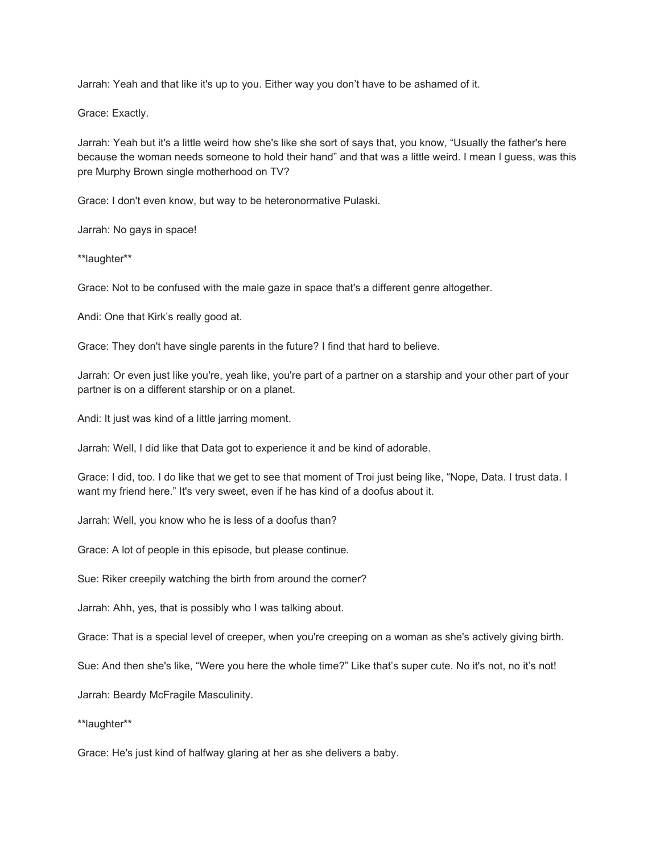Jarrah: Yeah and that like it's up to you. Either way you don't have to be ashamed of it.

Grace: Exactly.

Jarrah: Yeah but it's a little weird how she's like she sort of says that, you know, "Usually the father's here because the woman needs someone to hold their hand" and that was a little weird. I mean I guess, was this pre Murphy Brown single motherhood on TV?

Grace: I don't even know, but way to be heteronormative Pulaski.

Jarrah: No gays in space!

\*\*laughter\*\*

Grace: Not to be confused with the male gaze in space that's a different genre altogether.

Andi: One that Kirk's really good at.

Grace: They don't have single parents in the future? I find that hard to believe.

Jarrah: Or even just like you're, yeah like, you're part of a partner on a starship and your other part of your partner is on a different starship or on a planet.

Andi: It just was kind of a little jarring moment.

Jarrah: Well, I did like that Data got to experience it and be kind of adorable.

Grace: I did, too. I do like that we get to see that moment of Troi just being like, "Nope, Data. I trust data. I want my friend here." It's very sweet, even if he has kind of a doofus about it.

Jarrah: Well, you know who he is less of a doofus than?

Grace: A lot of people in this episode, but please continue.

Sue: Riker creepily watching the birth from around the corner?

Jarrah: Ahh, yes, that is possibly who I was talking about.

Grace: That is a special level of creeper, when you're creeping on a woman as she's actively giving birth.

Sue: And then she's like, "Were you here the whole time?" Like that's super cute. No it's not, no it's not!

Jarrah: Beardy McFragile Masculinity.

\*\*laughter\*\*

Grace: He's just kind of halfway glaring at her as she delivers a baby.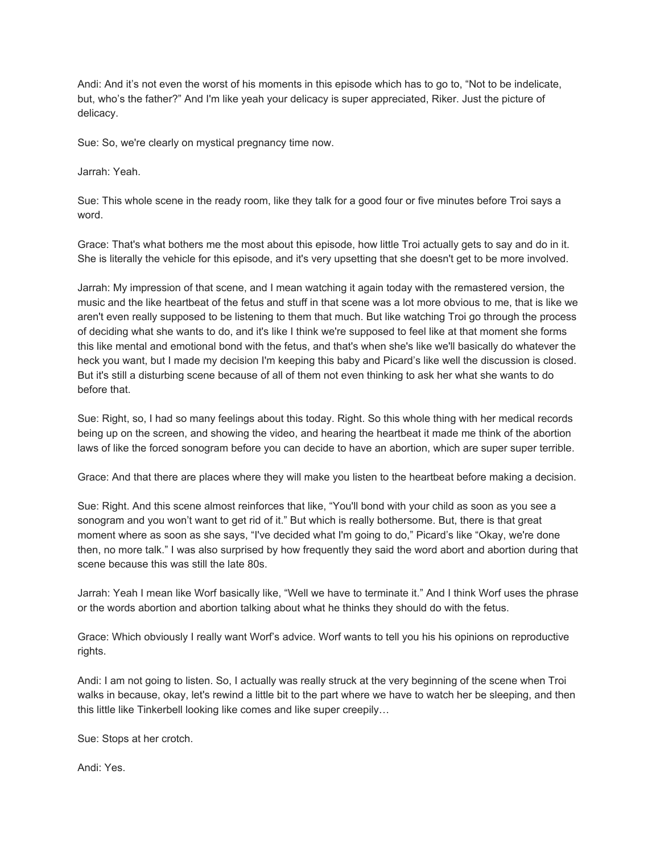Andi: And it's not even the worst of his moments in this episode which has to go to, "Not to be indelicate, but, who's the father?" And I'm like yeah your delicacy is super appreciated, Riker. Just the picture of delicacy.

Sue: So, we're clearly on mystical pregnancy time now.

Jarrah: Yeah.

Sue: This whole scene in the ready room, like they talk for a good four or five minutes before Troi says a word.

Grace: That's what bothers me the most about this episode, how little Troi actually gets to say and do in it. She is literally the vehicle for this episode, and it's very upsetting that she doesn't get to be more involved.

Jarrah: My impression of that scene, and I mean watching it again today with the remastered version, the music and the like heartbeat of the fetus and stuff in that scene was a lot more obvious to me, that is like we aren't even really supposed to be listening to them that much. But like watching Troi go through the process of deciding what she wants to do, and it's like I think we're supposed to feel like at that moment she forms this like mental and emotional bond with the fetus, and that's when she's like we'll basically do whatever the heck you want, but I made my decision I'm keeping this baby and Picard's like well the discussion is closed. But it's still a disturbing scene because of all of them not even thinking to ask her what she wants to do before that.

Sue: Right, so, I had so many feelings about this today. Right. So this whole thing with her medical records being up on the screen, and showing the video, and hearing the heartbeat it made me think of the abortion laws of like the forced sonogram before you can decide to have an abortion, which are super super terrible.

Grace: And that there are places where they will make you listen to the heartbeat before making a decision.

Sue: Right. And this scene almost reinforces that like, "You'll bond with your child as soon as you see a sonogram and you won't want to get rid of it." But which is really bothersome. But, there is that great moment where as soon as she says, "I've decided what I'm going to do," Picard's like "Okay, we're done then, no more talk." I was also surprised by how frequently they said the word abort and abortion during that scene because this was still the late 80s.

Jarrah: Yeah I mean like Worf basically like, "Well we have to terminate it." And I think Worf uses the phrase or the words abortion and abortion talking about what he thinks they should do with the fetus.

Grace: Which obviously I really want Worf's advice. Worf wants to tell you his his opinions on reproductive rights.

Andi: I am not going to listen. So, I actually was really struck at the very beginning of the scene when Troi walks in because, okay, let's rewind a little bit to the part where we have to watch her be sleeping, and then this little like Tinkerbell looking like comes and like super creepily…

Sue: Stops at her crotch.

Andi: Yes.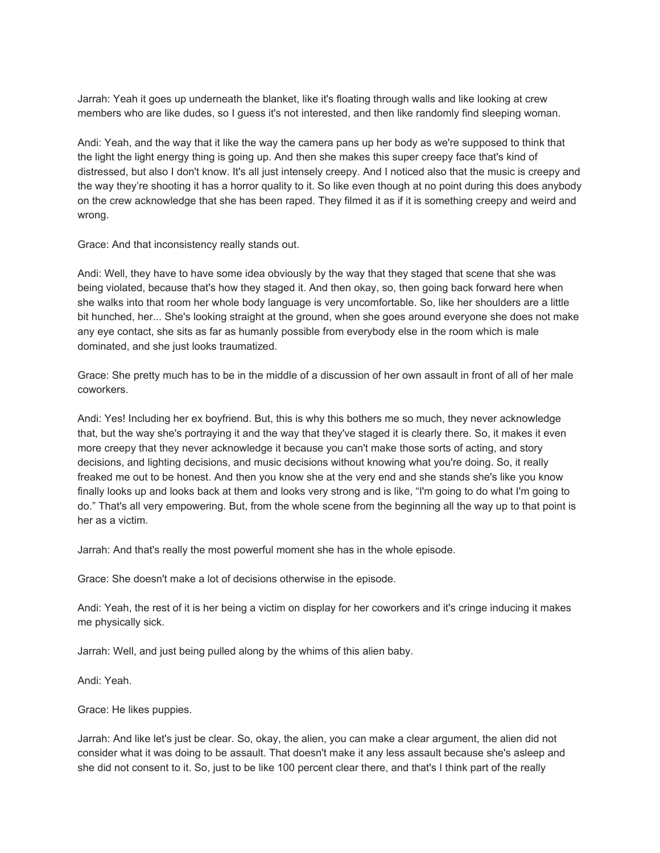Jarrah: Yeah it goes up underneath the blanket, like it's floating through walls and like looking at crew members who are like dudes, so I guess it's not interested, and then like randomly find sleeping woman.

Andi: Yeah, and the way that it like the way the camera pans up her body as we're supposed to think that the light the light energy thing is going up. And then she makes this super creepy face that's kind of distressed, but also I don't know. It's all just intensely creepy. And I noticed also that the music is creepy and the way they're shooting it has a horror quality to it. So like even though at no point during this does anybody on the crew acknowledge that she has been raped. They filmed it as if it is something creepy and weird and wrong.

Grace: And that inconsistency really stands out.

Andi: Well, they have to have some idea obviously by the way that they staged that scene that she was being violated, because that's how they staged it. And then okay, so, then going back forward here when she walks into that room her whole body language is very uncomfortable. So, like her shoulders are a little bit hunched, her... She's looking straight at the ground, when she goes around everyone she does not make any eye contact, she sits as far as humanly possible from everybody else in the room which is male dominated, and she just looks traumatized.

Grace: She pretty much has to be in the middle of a discussion of her own assault in front of all of her male coworkers.

Andi: Yes! Including her ex boyfriend. But, this is why this bothers me so much, they never acknowledge that, but the way she's portraying it and the way that they've staged it is clearly there. So, it makes it even more creepy that they never acknowledge it because you can't make those sorts of acting, and story decisions, and lighting decisions, and music decisions without knowing what you're doing. So, it really freaked me out to be honest. And then you know she at the very end and she stands she's like you know finally looks up and looks back at them and looks very strong and is like, "I'm going to do what I'm going to do." That's all very empowering. But, from the whole scene from the beginning all the way up to that point is her as a victim.

Jarrah: And that's really the most powerful moment she has in the whole episode.

Grace: She doesn't make a lot of decisions otherwise in the episode.

Andi: Yeah, the rest of it is her being a victim on display for her coworkers and it's cringe inducing it makes me physically sick.

Jarrah: Well, and just being pulled along by the whims of this alien baby.

Andi: Yeah.

Grace: He likes puppies.

Jarrah: And like let's just be clear. So, okay, the alien, you can make a clear argument, the alien did not consider what it was doing to be assault. That doesn't make it any less assault because she's asleep and she did not consent to it. So, just to be like 100 percent clear there, and that's I think part of the really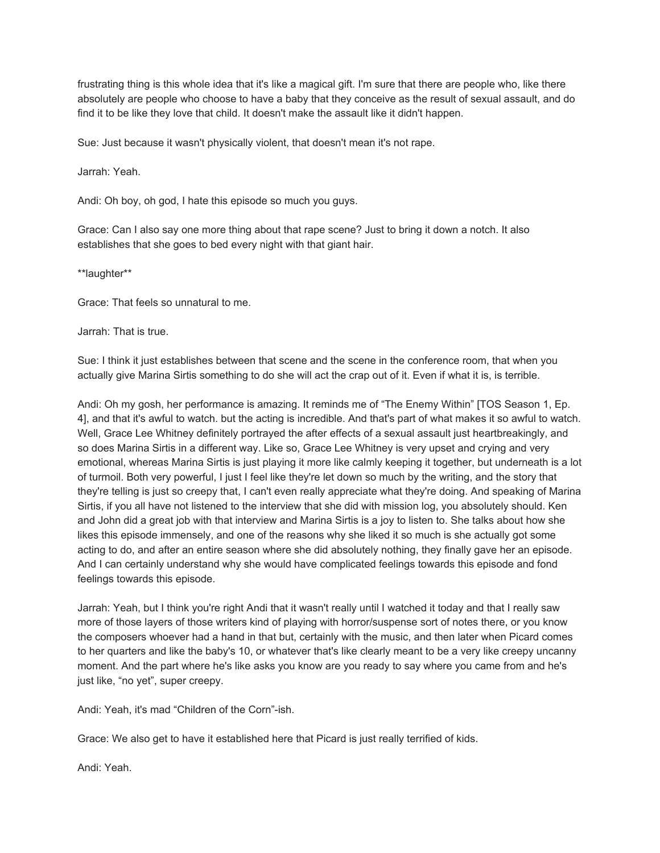frustrating thing is this whole idea that it's like a magical gift. I'm sure that there are people who, like there absolutely are people who choose to have a baby that they conceive as the result of sexual assault, and do find it to be like they love that child. It doesn't make the assault like it didn't happen.

Sue: Just because it wasn't physically violent, that doesn't mean it's not rape.

Jarrah: Yeah.

Andi: Oh boy, oh god, I hate this episode so much you guys.

Grace: Can I also say one more thing about that rape scene? Just to bring it down a notch. It also establishes that she goes to bed every night with that giant hair.

\*\*laughter\*\*

Grace: That feels so unnatural to me.

Jarrah: That is true.

Sue: I think it just establishes between that scene and the scene in the conference room, that when you actually give Marina Sirtis something to do she will act the crap out of it. Even if what it is, is terrible.

Andi: Oh my gosh, her performance is amazing. It reminds me of "The Enemy Within" [TOS Season 1, Ep. 4], and that it's awful to watch. but the acting is incredible. And that's part of what makes it so awful to watch. Well, Grace Lee Whitney definitely portrayed the after effects of a sexual assault just heartbreakingly, and so does Marina Sirtis in a different way. Like so, Grace Lee Whitney is very upset and crying and very emotional, whereas Marina Sirtis is just playing it more like calmly keeping it together, but underneath is a lot of turmoil. Both very powerful, I just I feel like they're let down so much by the writing, and the story that they're telling is just so creepy that, I can't even really appreciate what they're doing. And speaking of Marina Sirtis, if you all have not listened to the interview that she did with mission log, you absolutely should. Ken and John did a great job with that interview and Marina Sirtis is a joy to listen to. She talks about how she likes this episode immensely, and one of the reasons why she liked it so much is she actually got some acting to do, and after an entire season where she did absolutely nothing, they finally gave her an episode. And I can certainly understand why she would have complicated feelings towards this episode and fond feelings towards this episode.

Jarrah: Yeah, but I think you're right Andi that it wasn't really until I watched it today and that I really saw more of those layers of those writers kind of playing with horror/suspense sort of notes there, or you know the composers whoever had a hand in that but, certainly with the music, and then later when Picard comes to her quarters and like the baby's 10, or whatever that's like clearly meant to be a very like creepy uncanny moment. And the part where he's like asks you know are you ready to say where you came from and he's just like, "no yet", super creepy.

Andi: Yeah, it's mad "Children of the Corn"-ish.

Grace: We also get to have it established here that Picard is just really terrified of kids.

Andi: Yeah.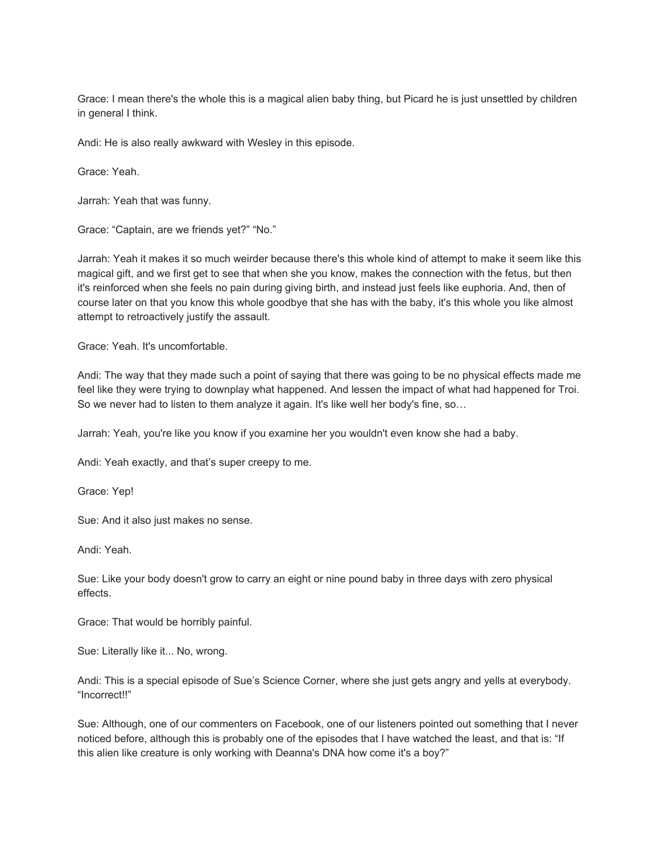Grace: I mean there's the whole this is a magical alien baby thing, but Picard he is just unsettled by children in general I think.

Andi: He is also really awkward with Wesley in this episode.

Grace: Yeah.

Jarrah: Yeah that was funny.

Grace: "Captain, are we friends yet?" "No."

Jarrah: Yeah it makes it so much weirder because there's this whole kind of attempt to make it seem like this magical gift, and we first get to see that when she you know, makes the connection with the fetus, but then it's reinforced when she feels no pain during giving birth, and instead just feels like euphoria. And, then of course later on that you know this whole goodbye that she has with the baby, it's this whole you like almost attempt to retroactively justify the assault.

Grace: Yeah. It's uncomfortable.

Andi: The way that they made such a point of saying that there was going to be no physical effects made me feel like they were trying to downplay what happened. And lessen the impact of what had happened for Troi. So we never had to listen to them analyze it again. It's like well her body's fine, so…

Jarrah: Yeah, you're like you know if you examine her you wouldn't even know she had a baby.

Andi: Yeah exactly, and that's super creepy to me.

Grace: Yep!

Sue: And it also just makes no sense.

Andi: Yeah.

Sue: Like your body doesn't grow to carry an eight or nine pound baby in three days with zero physical effects.

Grace: That would be horribly painful.

Sue: Literally like it... No, wrong.

Andi: This is a special episode of Sue's Science Corner, where she just gets angry and yells at everybody. "Incorrect!!"

Sue: Although, one of our commenters on Facebook, one of our listeners pointed out something that I never noticed before, although this is probably one of the episodes that I have watched the least, and that is: "If this alien like creature is only working with Deanna's DNA how come it's a boy?"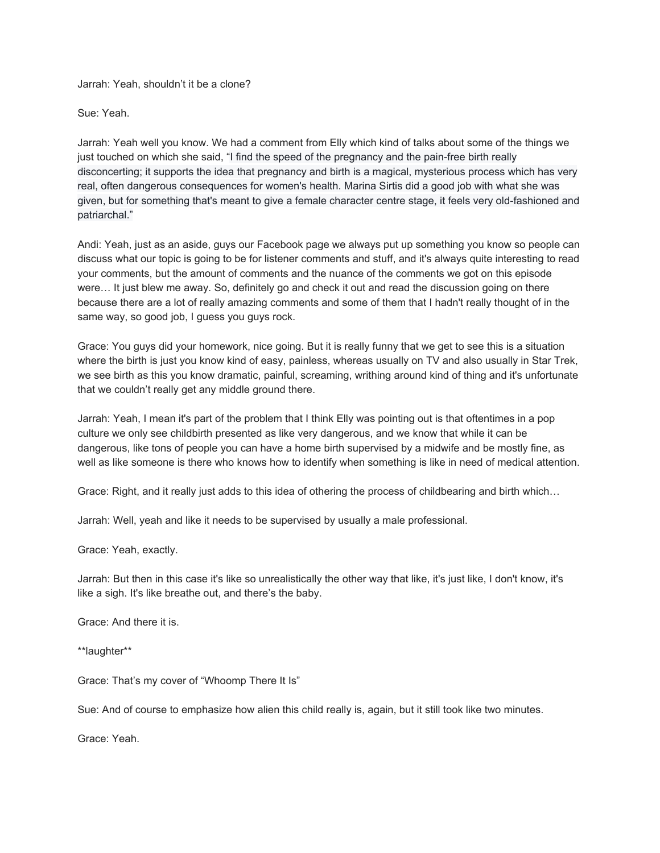Jarrah: Yeah, shouldn't it be a clone?

Sue: Yeah.

Jarrah: Yeah well you know. We had a comment from Elly which kind of talks about some of the things we just touched on which she said, "I find the speed of the pregnancy and the pain-free birth really disconcerting; it supports the idea that pregnancy and birth is a magical, mysterious process which has very real, often dangerous consequences for women's health. Marina Sirtis did a good job with what she was given, but for something that's meant to give a female character centre stage, it feels very old-fashioned and patriarchal."

Andi: Yeah, just as an aside, guys our Facebook page we always put up something you know so people can discuss what our topic is going to be for listener comments and stuff, and it's always quite interesting to read your comments, but the amount of comments and the nuance of the comments we got on this episode were… It just blew me away. So, definitely go and check it out and read the discussion going on there because there are a lot of really amazing comments and some of them that I hadn't really thought of in the same way, so good job, I guess you guys rock.

Grace: You guys did your homework, nice going. But it is really funny that we get to see this is a situation where the birth is just you know kind of easy, painless, whereas usually on TV and also usually in Star Trek, we see birth as this you know dramatic, painful, screaming, writhing around kind of thing and it's unfortunate that we couldn't really get any middle ground there.

Jarrah: Yeah, I mean it's part of the problem that I think Elly was pointing out is that oftentimes in a pop culture we only see childbirth presented as like very dangerous, and we know that while it can be dangerous, like tons of people you can have a home birth supervised by a midwife and be mostly fine, as well as like someone is there who knows how to identify when something is like in need of medical attention.

Grace: Right, and it really just adds to this idea of othering the process of childbearing and birth which…

Jarrah: Well, yeah and like it needs to be supervised by usually a male professional.

Grace: Yeah, exactly.

Jarrah: But then in this case it's like so unrealistically the other way that like, it's just like, I don't know, it's like a sigh. It's like breathe out, and there's the baby.

Grace: And there it is.

\*\*laughter\*\*

Grace: That's my cover of "Whoomp There It Is"

Sue: And of course to emphasize how alien this child really is, again, but it still took like two minutes.

Grace: Yeah.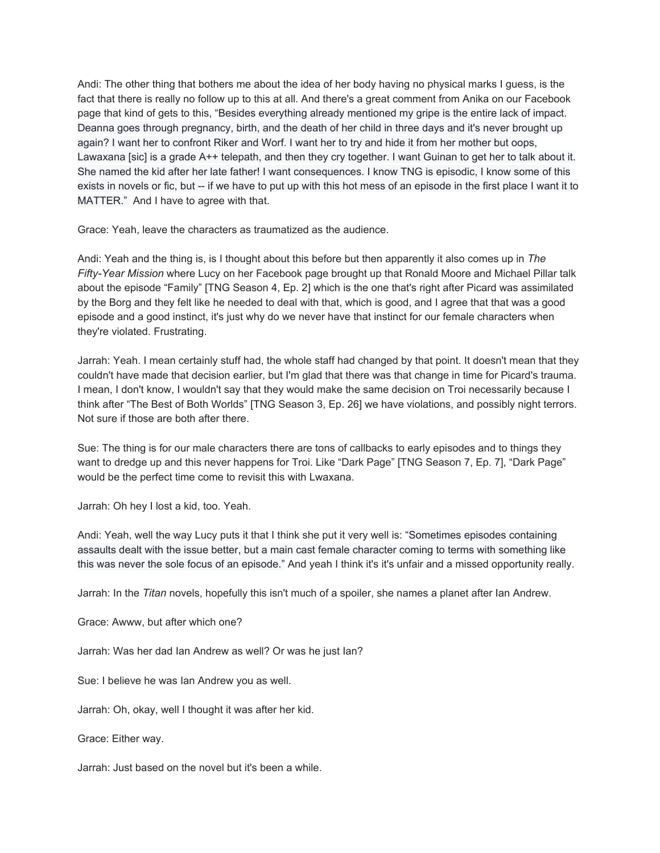Andi: The other thing that bothers me about the idea of her body having no physical marks I guess, is the fact that there is really no follow up to this at all. And there's a great comment from Anika on our Facebook page that kind of gets to this, "Besides everything already mentioned my gripe is the entire lack of impact. Deanna goes through pregnancy, birth, and the death of her child in three days and it's never brought up again? I want her to confront Riker and Worf. I want her to try and hide it from her mother but oops, Lawaxana [sic] is a grade A++ telepath, and then they cry together. I want Guinan to get her to talk about it. She named the kid after her late father! I want consequences. I know TNG is episodic, I know some of this exists in novels or fic, but -- if we have to put up with this hot mess of an episode in the first place I want it to MATTER." And I have to agree with that.

Grace: Yeah, leave the characters as traumatized as the audience.

Andi: Yeah and the thing is, is I thought about this before but then apparently it also comes up in *The Fifty-Year Mission* where Lucy on her Facebook page brought up that Ronald Moore and Michael Pillar talk about the episode "Family" [TNG Season 4, Ep. 2] which is the one that's right after Picard was assimilated by the Borg and they felt like he needed to deal with that, which is good, and I agree that that was a good episode and a good instinct, it's just why do we never have that instinct for our female characters when they're violated. Frustrating.

Jarrah: Yeah. I mean certainly stuff had, the whole staff had changed by that point. It doesn't mean that they couldn't have made that decision earlier, but I'm glad that there was that change in time for Picard's trauma. I mean, I don't know, I wouldn't say that they would make the same decision on Troi necessarily because I think after "The Best of Both Worlds" [TNG Season 3, Ep. 26] we have violations, and possibly night terrors. Not sure if those are both after there.

Sue: The thing is for our male characters there are tons of callbacks to early episodes and to things they want to dredge up and this never happens for Troi. Like "Dark Page" [TNG Season 7, Ep. 7], "Dark Page" would be the perfect time come to revisit this with Lwaxana.

Jarrah: Oh hey I lost a kid, too. Yeah.

Andi: Yeah, well the way Lucy puts it that I think she put it very well is: "Sometimes episodes containing assaults dealt with the issue better, but a main cast female character coming to terms with something like this was never the sole focus of an episode." And yeah I think it's it's unfair and a missed opportunity really.

Jarrah: In the *Titan* novels, hopefully this isn't much of a spoiler, she names a planet after Ian Andrew.

Grace: Awww, but after which one?

Jarrah: Was her dad Ian Andrew as well? Or was he just Ian?

Sue: I believe he was Ian Andrew you as well.

Jarrah: Oh, okay, well I thought it was after her kid.

Grace: Either way.

Jarrah: Just based on the novel but it's been a while.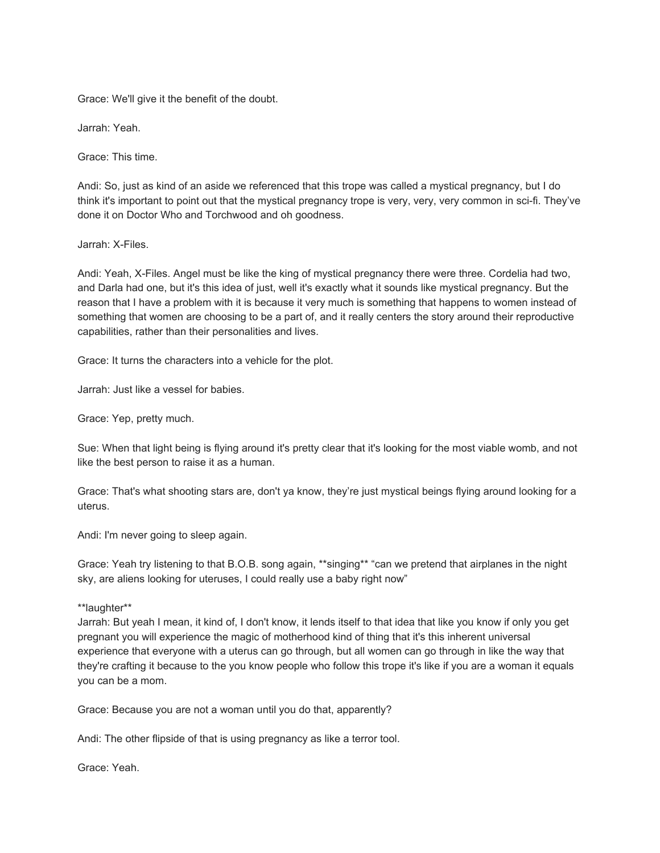Grace: We'll give it the benefit of the doubt.

Jarrah: Yeah.

Grace: This time.

Andi: So, just as kind of an aside we referenced that this trope was called a mystical pregnancy, but I do think it's important to point out that the mystical pregnancy trope is very, very, very common in sci-fi. They've done it on Doctor Who and Torchwood and oh goodness.

Jarrah: X-Files.

Andi: Yeah, X-Files. Angel must be like the king of mystical pregnancy there were three. Cordelia had two, and Darla had one, but it's this idea of just, well it's exactly what it sounds like mystical pregnancy. But the reason that I have a problem with it is because it very much is something that happens to women instead of something that women are choosing to be a part of, and it really centers the story around their reproductive capabilities, rather than their personalities and lives.

Grace: It turns the characters into a vehicle for the plot.

Jarrah: Just like a vessel for babies.

Grace: Yep, pretty much.

Sue: When that light being is flying around it's pretty clear that it's looking for the most viable womb, and not like the best person to raise it as a human.

Grace: That's what shooting stars are, don't ya know, they're just mystical beings flying around looking for a uterus.

Andi: I'm never going to sleep again.

Grace: Yeah try listening to that B.O.B. song again, \*\*singing\*\* "can we pretend that airplanes in the night sky, are aliens looking for uteruses, I could really use a baby right now"

\*\*laughter\*\*

Jarrah: But yeah I mean, it kind of, I don't know, it lends itself to that idea that like you know if only you get pregnant you will experience the magic of motherhood kind of thing that it's this inherent universal experience that everyone with a uterus can go through, but all women can go through in like the way that they're crafting it because to the you know people who follow this trope it's like if you are a woman it equals you can be a mom.

Grace: Because you are not a woman until you do that, apparently?

Andi: The other flipside of that is using pregnancy as like a terror tool.

Grace: Yeah.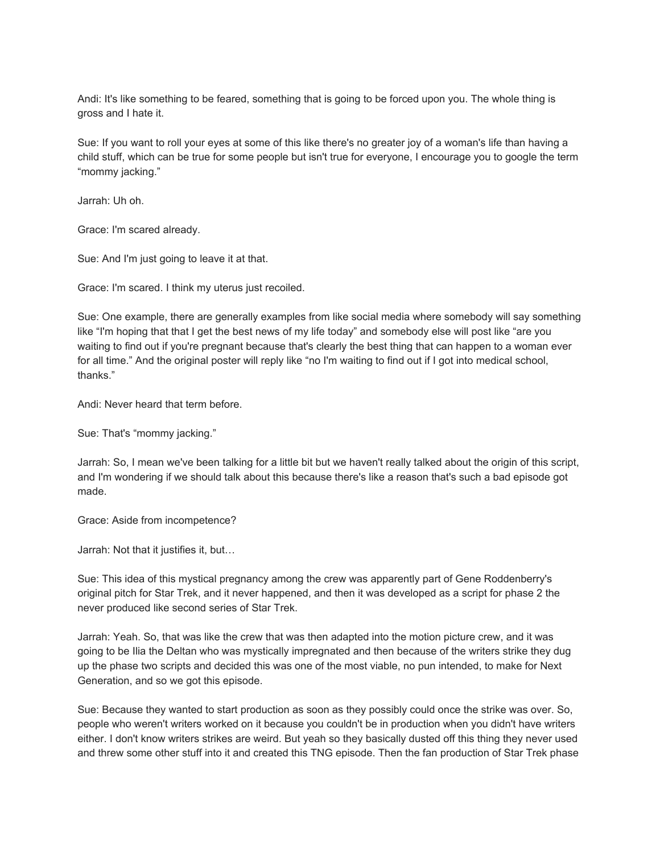Andi: It's like something to be feared, something that is going to be forced upon you. The whole thing is gross and I hate it.

Sue: If you want to roll your eyes at some of this like there's no greater joy of a woman's life than having a child stuff, which can be true for some people but isn't true for everyone, I encourage you to google the term "mommy jacking."

Jarrah: Uh oh.

Grace: I'm scared already.

Sue: And I'm just going to leave it at that.

Grace: I'm scared. I think my uterus just recoiled.

Sue: One example, there are generally examples from like social media where somebody will say something like "I'm hoping that that I get the best news of my life today" and somebody else will post like "are you waiting to find out if you're pregnant because that's clearly the best thing that can happen to a woman ever for all time." And the original poster will reply like "no I'm waiting to find out if I got into medical school, thanks."

Andi: Never heard that term before.

Sue: That's "mommy jacking."

Jarrah: So, I mean we've been talking for a little bit but we haven't really talked about the origin of this script, and I'm wondering if we should talk about this because there's like a reason that's such a bad episode got made.

Grace: Aside from incompetence?

Jarrah: Not that it justifies it, but…

Sue: This idea of this mystical pregnancy among the crew was apparently part of Gene Roddenberry's original pitch for Star Trek, and it never happened, and then it was developed as a script for phase 2 the never produced like second series of Star Trek.

Jarrah: Yeah. So, that was like the crew that was then adapted into the motion picture crew, and it was going to be Ilia the Deltan who was mystically impregnated and then because of the writers strike they dug up the phase two scripts and decided this was one of the most viable, no pun intended, to make for Next Generation, and so we got this episode.

Sue: Because they wanted to start production as soon as they possibly could once the strike was over. So, people who weren't writers worked on it because you couldn't be in production when you didn't have writers either. I don't know writers strikes are weird. But yeah so they basically dusted off this thing they never used and threw some other stuff into it and created this TNG episode. Then the fan production of Star Trek phase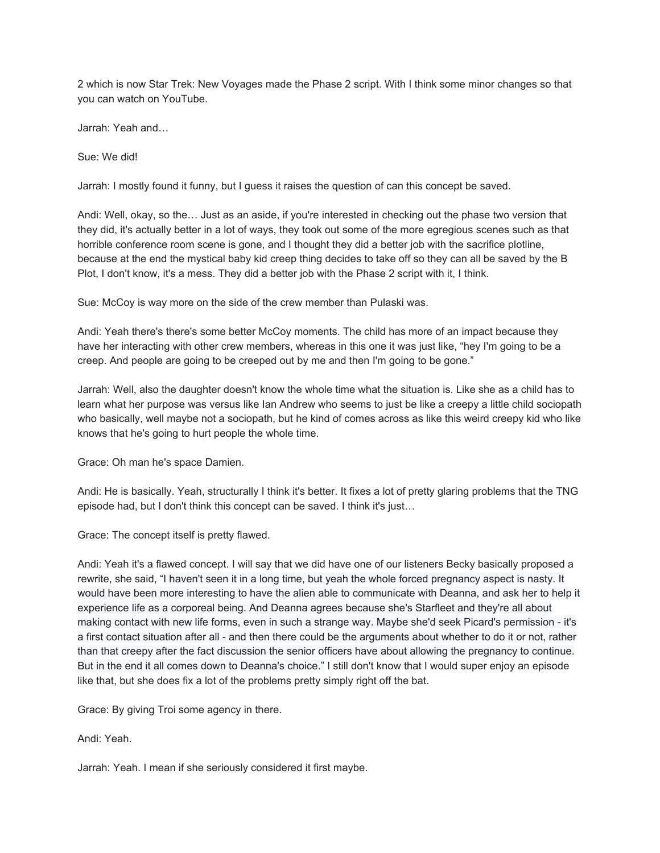2 which is now Star Trek: New Voyages made the Phase 2 script. With I think some minor changes so that you can watch on YouTube.

Jarrah: Yeah and…

Sue: We did!

Jarrah: I mostly found it funny, but I guess it raises the question of can this concept be saved.

Andi: Well, okay, so the… Just as an aside, if you're interested in checking out the phase two version that they did, it's actually better in a lot of ways, they took out some of the more egregious scenes such as that horrible conference room scene is gone, and I thought they did a better job with the sacrifice plotline, because at the end the mystical baby kid creep thing decides to take off so they can all be saved by the B Plot, I don't know, it's a mess. They did a better job with the Phase 2 script with it, I think.

Sue: McCoy is way more on the side of the crew member than Pulaski was.

Andi: Yeah there's there's some better McCoy moments. The child has more of an impact because they have her interacting with other crew members, whereas in this one it was just like, "hey I'm going to be a creep. And people are going to be creeped out by me and then I'm going to be gone."

Jarrah: Well, also the daughter doesn't know the whole time what the situation is. Like she as a child has to learn what her purpose was versus like Ian Andrew who seems to just be like a creepy a little child sociopath who basically, well maybe not a sociopath, but he kind of comes across as like this weird creepy kid who like knows that he's going to hurt people the whole time.

Grace: Oh man he's space Damien.

Andi: He is basically. Yeah, structurally I think it's better. It fixes a lot of pretty glaring problems that the TNG episode had, but I don't think this concept can be saved. I think it's just…

Grace: The concept itself is pretty flawed.

Andi: Yeah it's a flawed concept. I will say that we did have one of our listeners Becky basically proposed a rewrite, she said, "I haven't seen it in a long time, but yeah the whole forced pregnancy aspect is nasty. It would have been more interesting to have the alien able to communicate with Deanna, and ask her to help it experience life as a corporeal being. And Deanna agrees because she's Starfleet and they're all about making contact with new life forms, even in such a strange way. Maybe she'd seek Picard's permission - it's a first contact situation after all - and then there could be the arguments about whether to do it or not, rather than that creepy after the fact discussion the senior officers have about allowing the pregnancy to continue. But in the end it all comes down to Deanna's choice." I still don't know that I would super enjoy an episode like that, but she does fix a lot of the problems pretty simply right off the bat.

Grace: By giving Troi some agency in there.

Andi: Yeah.

Jarrah: Yeah. I mean if she seriously considered it first maybe.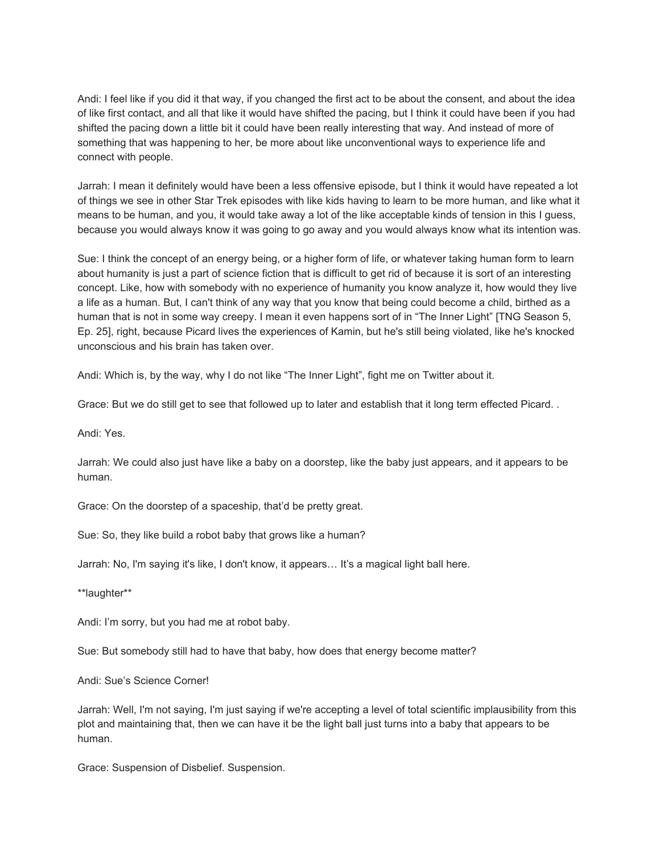Andi: I feel like if you did it that way, if you changed the first act to be about the consent, and about the idea of like first contact, and all that like it would have shifted the pacing, but I think it could have been if you had shifted the pacing down a little bit it could have been really interesting that way. And instead of more of something that was happening to her, be more about like unconventional ways to experience life and connect with people.

Jarrah: I mean it definitely would have been a less offensive episode, but I think it would have repeated a lot of things we see in other Star Trek episodes with like kids having to learn to be more human, and like what it means to be human, and you, it would take away a lot of the like acceptable kinds of tension in this I guess, because you would always know it was going to go away and you would always know what its intention was.

Sue: I think the concept of an energy being, or a higher form of life, or whatever taking human form to learn about humanity is just a part of science fiction that is difficult to get rid of because it is sort of an interesting concept. Like, how with somebody with no experience of humanity you know analyze it, how would they live a life as a human. But, I can't think of any way that you know that being could become a child, birthed as a human that is not in some way creepy. I mean it even happens sort of in "The Inner Light" [TNG Season 5, Ep. 25], right, because Picard lives the experiences of Kamin, but he's still being violated, like he's knocked unconscious and his brain has taken over.

Andi: Which is, by the way, why I do not like "The Inner Light", fight me on Twitter about it.

Grace: But we do still get to see that followed up to later and establish that it long term effected Picard. .

Andi: Yes.

Jarrah: We could also just have like a baby on a doorstep, like the baby just appears, and it appears to be human.

Grace: On the doorstep of a spaceship, that'd be pretty great.

Sue: So, they like build a robot baby that grows like a human?

Jarrah: No, I'm saying it's like, I don't know, it appears… It's a magical light ball here.

\*\*laughter\*\*

Andi: I'm sorry, but you had me at robot baby.

Sue: But somebody still had to have that baby, how does that energy become matter?

Andi: Sue's Science Corner!

Jarrah: Well, I'm not saying, I'm just saying if we're accepting a level of total scientific implausibility from this plot and maintaining that, then we can have it be the light ball just turns into a baby that appears to be human.

Grace: Suspension of Disbelief. Suspension.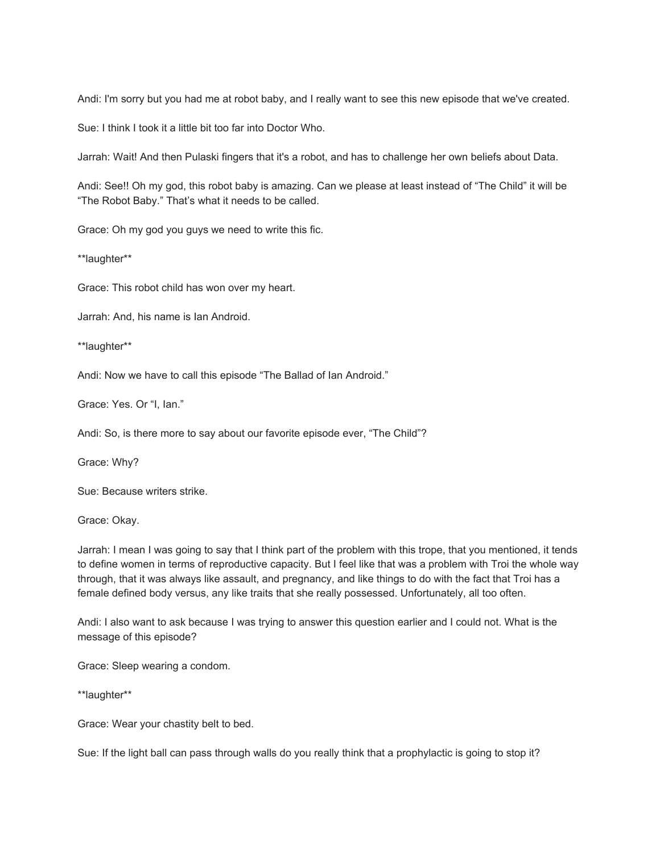Andi: I'm sorry but you had me at robot baby, and I really want to see this new episode that we've created.

Sue: I think I took it a little bit too far into Doctor Who.

Jarrah: Wait! And then Pulaski fingers that it's a robot, and has to challenge her own beliefs about Data.

Andi: See!! Oh my god, this robot baby is amazing. Can we please at least instead of "The Child" it will be "The Robot Baby." That's what it needs to be called.

Grace: Oh my god you guys we need to write this fic.

\*\*laughter\*\*

Grace: This robot child has won over my heart.

Jarrah: And, his name is Ian Android.

\*\*laughter\*\*

Andi: Now we have to call this episode "The Ballad of Ian Android."

Grace: Yes. Or "I, Ian."

Andi: So, is there more to say about our favorite episode ever, "The Child"?

Grace: Why?

Sue: Because writers strike.

Grace: Okay.

Jarrah: I mean I was going to say that I think part of the problem with this trope, that you mentioned, it tends to define women in terms of reproductive capacity. But I feel like that was a problem with Troi the whole way through, that it was always like assault, and pregnancy, and like things to do with the fact that Troi has a female defined body versus, any like traits that she really possessed. Unfortunately, all too often.

Andi: I also want to ask because I was trying to answer this question earlier and I could not. What is the message of this episode?

Grace: Sleep wearing a condom.

\*\*laughter\*\*

Grace: Wear your chastity belt to bed.

Sue: If the light ball can pass through walls do you really think that a prophylactic is going to stop it?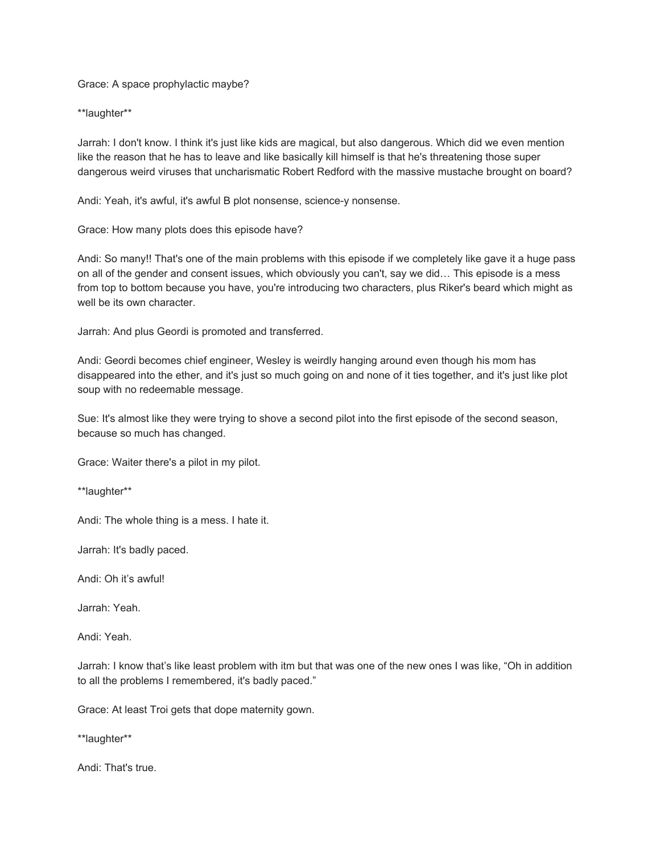Grace: A space prophylactic maybe?

\*\*laughter\*\*

Jarrah: I don't know. I think it's just like kids are magical, but also dangerous. Which did we even mention like the reason that he has to leave and like basically kill himself is that he's threatening those super dangerous weird viruses that uncharismatic Robert Redford with the massive mustache brought on board?

Andi: Yeah, it's awful, it's awful B plot nonsense, science-y nonsense.

Grace: How many plots does this episode have?

Andi: So many!! That's one of the main problems with this episode if we completely like gave it a huge pass on all of the gender and consent issues, which obviously you can't, say we did… This episode is a mess from top to bottom because you have, you're introducing two characters, plus Riker's beard which might as well be its own character.

Jarrah: And plus Geordi is promoted and transferred.

Andi: Geordi becomes chief engineer, Wesley is weirdly hanging around even though his mom has disappeared into the ether, and it's just so much going on and none of it ties together, and it's just like plot soup with no redeemable message.

Sue: It's almost like they were trying to shove a second pilot into the first episode of the second season, because so much has changed.

Grace: Waiter there's a pilot in my pilot.

\*\*laughter\*\*

Andi: The whole thing is a mess. I hate it.

Jarrah: It's badly paced.

Andi: Oh it's awful!

Jarrah: Yeah.

Andi: Yeah.

Jarrah: I know that's like least problem with itm but that was one of the new ones I was like, "Oh in addition to all the problems I remembered, it's badly paced."

Grace: At least Troi gets that dope maternity gown.

\*\*laughter\*\*

Andi: That's true.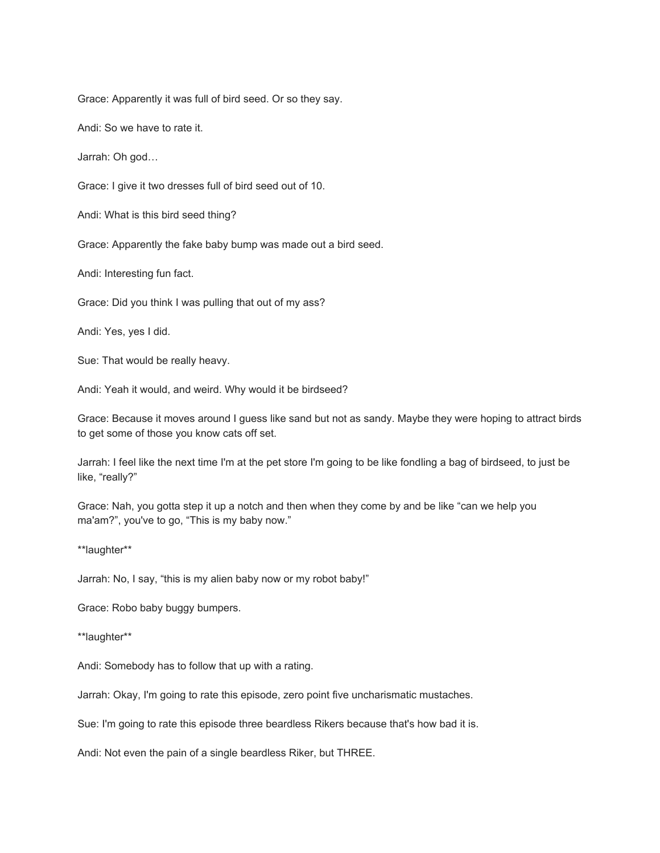Grace: Apparently it was full of bird seed. Or so they say.

Andi: So we have to rate it.

Jarrah: Oh god…

Grace: I give it two dresses full of bird seed out of 10.

Andi: What is this bird seed thing?

Grace: Apparently the fake baby bump was made out a bird seed.

Andi: Interesting fun fact.

Grace: Did you think I was pulling that out of my ass?

Andi: Yes, yes I did.

Sue: That would be really heavy.

Andi: Yeah it would, and weird. Why would it be birdseed?

Grace: Because it moves around I guess like sand but not as sandy. Maybe they were hoping to attract birds to get some of those you know cats off set.

Jarrah: I feel like the next time I'm at the pet store I'm going to be like fondling a bag of birdseed, to just be like, "really?"

Grace: Nah, you gotta step it up a notch and then when they come by and be like "can we help you ma'am?", you've to go, "This is my baby now."

\*\*laughter\*\*

Jarrah: No, I say, "this is my alien baby now or my robot baby!"

Grace: Robo baby buggy bumpers.

\*\*laughter\*\*

Andi: Somebody has to follow that up with a rating.

Jarrah: Okay, I'm going to rate this episode, zero point five uncharismatic mustaches.

Sue: I'm going to rate this episode three beardless Rikers because that's how bad it is.

Andi: Not even the pain of a single beardless Riker, but THREE.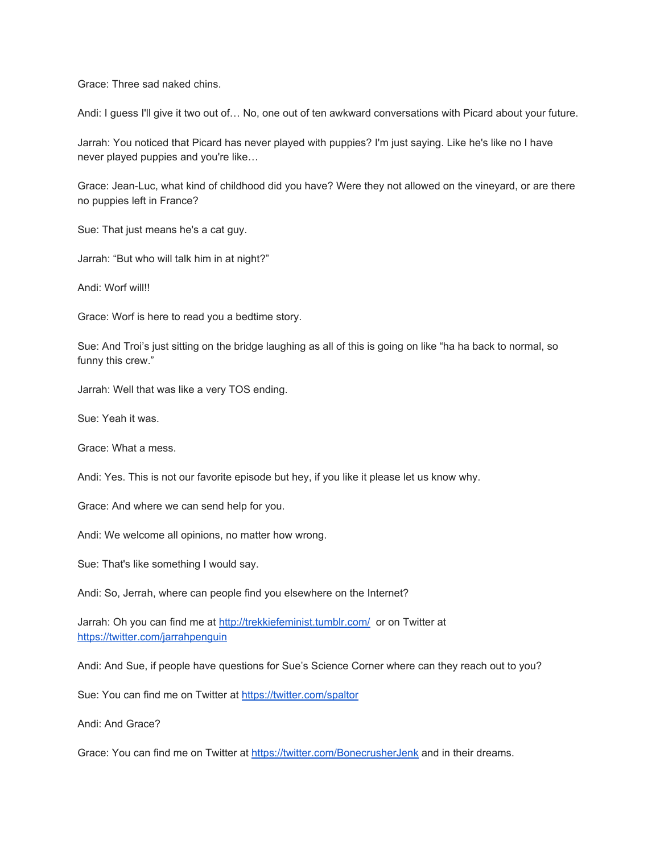Grace: Three sad naked chins.

Andi: I guess I'll give it two out of… No, one out of ten awkward conversations with Picard about your future.

Jarrah: You noticed that Picard has never played with puppies? I'm just saying. Like he's like no I have never played puppies and you're like…

Grace: Jean-Luc, what kind of childhood did you have? Were they not allowed on the vineyard, or are there no puppies left in France?

Sue: That just means he's a cat guy.

Jarrah: "But who will talk him in at night?"

Andi: Worf will!!

Grace: Worf is here to read you a bedtime story.

Sue: And Troi's just sitting on the bridge laughing as all of this is going on like "ha ha back to normal, so funny this crew."

Jarrah: Well that was like a very TOS ending.

Sue: Yeah it was.

Grace: What a mess.

Andi: Yes. This is not our favorite episode but hey, if you like it please let us know why.

Grace: And where we can send help for you.

Andi: We welcome all opinions, no matter how wrong.

Sue: That's like something I would say.

Andi: So, Jerrah, where can people find you elsewhere on the Internet?

Jarrah: Oh you can find me at<http://trekkiefeminist.tumblr.com/>or on Twitter at <https://twitter.com/jarrahpenguin>

Andi: And Sue, if people have questions for Sue's Science Corner where can they reach out to you?

Sue: You can find me on Twitter at<https://twitter.com/spaltor>

Andi: And Grace?

Grace: You can find me on Twitter at<https://twitter.com/BonecrusherJenk>and in their dreams.